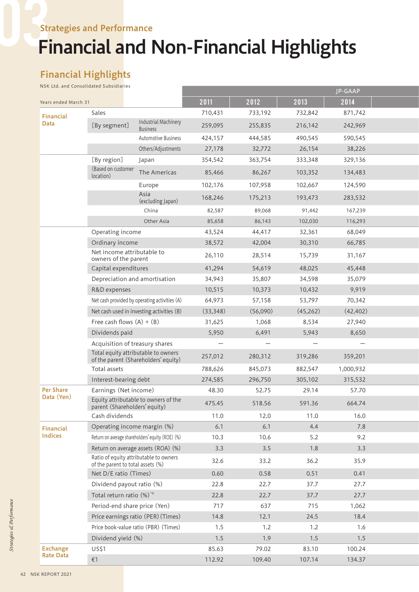# Financial and Non-Financial Highlights

# Financial Highlights

NSK Ltd. and Consolidated Subsidiaries

|                                     |                                                                       |                                                                             |                          |                          |                   | JP-GAAP                  |  |
|-------------------------------------|-----------------------------------------------------------------------|-----------------------------------------------------------------------------|--------------------------|--------------------------|-------------------|--------------------------|--|
| Years ended March 31                |                                                                       |                                                                             | 2011                     | 2012                     | 2013              | 2014                     |  |
| Financial                           | Sales                                                                 |                                                                             | 710,431                  | 733,192                  | 732,842           | 871,742                  |  |
| Data                                | [By segment]                                                          | Industrial Machinery<br><b>Business</b>                                     | 259,095                  | 255,835                  | 216,142           | 242,969                  |  |
|                                     |                                                                       | Automotive Business                                                         | 424,157                  | 444,585                  | 490,545           | 590,545                  |  |
|                                     |                                                                       | Others/Adjustments                                                          | 27,178                   | 32,772                   | 26,154            | 38,226                   |  |
|                                     | [By region]                                                           | Japan                                                                       | 354,542                  | 363,754                  | 333,348           | 329,136                  |  |
|                                     | (Based on customer<br>location)                                       | The Americas                                                                | 85,466                   | 86,267                   | 103,352           | 134,483                  |  |
|                                     |                                                                       | Europe                                                                      | 102,176                  | 107,958                  | 102,667           | 124,590                  |  |
|                                     |                                                                       | Asia<br>(excluding Japan)                                                   | 168,246                  | 175,213                  | 193,473           | 283,532                  |  |
|                                     |                                                                       | China                                                                       | 82,587                   | 89,068                   | 91,442            | 167,239                  |  |
|                                     |                                                                       | Other Asia                                                                  | 85,658                   | 86,143                   | 102,030           | 116,293                  |  |
|                                     | Operating income                                                      |                                                                             | 43,524                   | 44,417                   | 32,361            | 68,049                   |  |
|                                     | Ordinary income                                                       |                                                                             | 38,572                   | 42,004                   | 30,310            | 66,785                   |  |
|                                     | Net income attributable to<br>owners of the parent                    |                                                                             | 26,110                   | 28,514                   | 15,739            | 31,167                   |  |
|                                     | Capital expenditures                                                  |                                                                             | 41,294                   | 54,619                   | 48,025            | 45,448                   |  |
|                                     |                                                                       | Depreciation and amortisation                                               | 34,943                   | 35,807                   | 34,598            | 35,079                   |  |
|                                     | R&D expenses                                                          |                                                                             | 10,515                   | 10,373                   | 10,432            | 9,919                    |  |
|                                     |                                                                       | Net cash provided by operating activities (A)                               | 64,973                   | 57,158                   | 53,797            | 70,342                   |  |
|                                     |                                                                       | Net cash used in investing activities (B)                                   | (33, 348)                | (56,090)                 | (45,262)          | (42, 402)                |  |
|                                     | Free cash flows $(A) + (B)$                                           |                                                                             | 31,625                   | 1,068                    | 8,534             | 27,940                   |  |
|                                     | Dividends paid                                                        |                                                                             | 5,950                    | 6,491                    | 5,943             | 8,650                    |  |
|                                     |                                                                       | Acquisition of treasury shares                                              | $\overline{\phantom{m}}$ | $\overline{\phantom{m}}$ | $\qquad \qquad -$ | $\overline{\phantom{m}}$ |  |
|                                     |                                                                       | Total equity attributable to owners                                         | 257,012                  | 280,312                  | 319,286           | 359,201                  |  |
|                                     | Total assets                                                          | of the parent (Shareholders' equity)                                        | 788,626                  | 845,073                  | 882,547           | 1,000,932                |  |
|                                     |                                                                       |                                                                             |                          |                          |                   |                          |  |
|                                     | Interest-bearing debt                                                 |                                                                             | 274,585                  | 296,750                  | 305,102           | 315,532                  |  |
| <b>Per Share</b><br>Data (Yen)      | Earnings (Net income)                                                 |                                                                             | 48.30                    | 52.75                    | 29.14             | 57.70                    |  |
|                                     | Equity attributable to owners of the<br>parent (Shareholders' equity) |                                                                             | 475.45                   | 518.56                   | 591.36            | 664.74                   |  |
|                                     | Cash dividends                                                        |                                                                             | 11.0                     | 12.0                     | 11.0              | 16.0                     |  |
| Financial                           |                                                                       | Operating income margin (%)                                                 | 6.1                      | 6.1                      | 4.4               | 7.8                      |  |
| Indices                             | Return on average shareholders' equity (ROE) (%)                      |                                                                             | 10.3                     | 10.6                     | 5.2               | 9.2                      |  |
|                                     | Return on average assets (ROA) (%)                                    |                                                                             | 3.3                      | 3.5                      | 1.8               | 3.3                      |  |
|                                     |                                                                       | Ratio of equity attributable to owners<br>of the parent to total assets (%) | 32.6                     | 33.2                     | 36.2              | 35.9                     |  |
|                                     | Net D/E ratio (Times)                                                 |                                                                             | 0.60                     | 0.58                     | 0.51              | 0.41                     |  |
|                                     |                                                                       | Dividend payout ratio (%)                                                   | 22.8                     | 22.7                     | 37.7              | 27.7                     |  |
|                                     | Total return ratio (%) <sup>*4</sup>                                  |                                                                             | 22.8                     | 22.7                     | 37.7              | 27.7                     |  |
|                                     |                                                                       | Period-end share price (Yen)                                                | 717                      | 637                      | 715               | 1,062                    |  |
|                                     |                                                                       | Price earnings ratio (PER) (Times)                                          | 14.8                     | 12.1                     | 24.5              | 18.4                     |  |
|                                     |                                                                       | Price book-value ratio (PBR) (Times)                                        | 1.5                      | 1.2                      | 1.2               | 1.6                      |  |
|                                     | Dividend yield (%)                                                    |                                                                             | 1.5                      | 1.9                      | 1.5               | 1.5                      |  |
| <b>Exchange</b><br><b>Rate Data</b> | US\$1                                                                 |                                                                             | 85.63                    | 79.02                    | 83.10             | 100.24                   |  |
|                                     | $\n  1\n$                                                             |                                                                             | 112.92                   | 109.40                   | 107.14            | 134.37                   |  |
|                                     |                                                                       |                                                                             |                          |                          |                   |                          |  |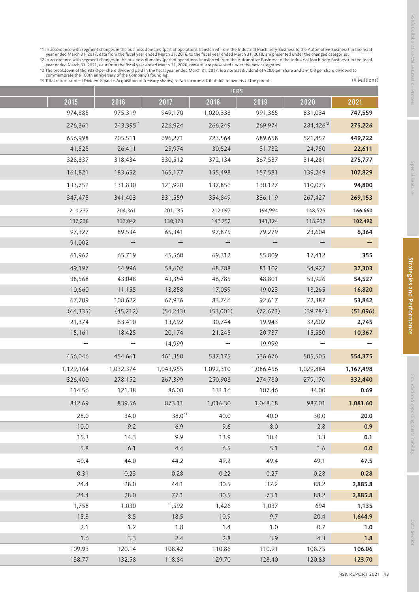\*1 In accordance with segment changes in the business domains (part of operations transferred from the Industrial Machinery Business to the Automotive Business) in the fiscal<br>year ended March 31, 2017, data from the fisca

|           |                          | <b>IFRS</b>              |                          |                          |                          |                          |
|-----------|--------------------------|--------------------------|--------------------------|--------------------------|--------------------------|--------------------------|
| 2021      | 2020                     | 2019                     | 2018                     | 2017                     | 2016                     | 2015                     |
| 747,559   | 831,034                  | 991,365                  | 1,020,338                | 949,170                  | 975,319                  | 974,885                  |
| 275,226   | 284,426 <sup>*2</sup>    | 269,974                  | 266,249                  | 226,924                  | 243,395*1                | 276,361                  |
| 449,722   | 521,857                  | 689,658                  | 723,564                  | 696,271                  | 705,511                  | 656,998                  |
| 22,611    | 24,750                   | 31,732                   | 30,524                   | 25,974                   | 26,411                   | 41,525                   |
| 275,777   | 314,281                  | 367,537                  | 372,134                  | 330,512                  | 318,434                  | 328,837                  |
| 107,829   | 139,249                  | 157,581                  | 155,498                  | 165,177                  | 183,652                  | 164,821                  |
| 94,800    | 110,075                  | 130,127                  | 137,856                  | 121,920                  | 131,830                  | 133,752                  |
| 269,153   | 267,427                  | 336,119                  | 354,849                  | 331,559                  | 341,403                  | 347,475                  |
| 166,660   | 148,525                  | 194,994                  | 212,097                  | 201,185                  | 204,361                  | 210,237                  |
| 102,492   | 118,902                  | 141,124                  | 142,752                  | 130,373                  | 137,042                  | 137,238                  |
| 6,364     | 23,604                   | 79,279                   | 97,875                   | 65,341                   | 89,534                   | 97,327                   |
|           | $\overline{\phantom{m}}$ | $\overline{\phantom{m}}$ | $\overline{\phantom{m}}$ | $\overline{\phantom{m}}$ | $\overline{\phantom{m}}$ | 91,002                   |
| 355       | 17,412                   | 55,809                   | 69,312                   | 45,560                   | 65,719                   | 61,962                   |
| 37,303    | 54,927                   | 81,102                   | 68,788                   | 58,602                   | 54,996                   | 49,197                   |
| 54,527    | 53,926                   | 48,801                   | 46,785                   | 43,354                   | 43,048                   | 38,568                   |
| 16,820    | 18,265                   | 19,023                   | 17,059                   | 13,858                   | 11,155                   | 10,660                   |
| 53,842    | 72,387                   | 92,617                   | 83,746                   | 67,936                   | 108,622                  | 67,709                   |
| (51,096)  | (39, 784)                | (72, 673)                | (53,001)                 | (54, 243)                | (45,212)                 | (46, 335)                |
| 2,745     | 32,602                   | 19,943                   | 30,744                   | 13,692                   | 63,410                   | 21,374                   |
| 10,367    | 15,550                   | 20,737                   | 21,245                   | 20,174                   | 18,425                   | 15,161                   |
|           | $\overline{\phantom{m}}$ | 19,999                   | $\overline{\phantom{m}}$ | 14,999                   | $\overline{\phantom{m}}$ | $\overline{\phantom{m}}$ |
| 554,375   | 505,505                  | 536,676                  | 537,175                  | 461,350                  | 454,661                  | 456,046                  |
| 1,167,498 | 1,029,884                | 1,086,456                | 1,092,310                | 1,043,955                | 1,032,374                | 1,129,164                |
| 332,440   | 279,170                  | 274,780                  | 250,908                  | 267,399                  | 278,152                  | 326,400                  |
|           | 34.00                    | 107.46                   | 131.16                   | 86.08                    | 121.38                   | 114.56                   |
| 1,081.60  | 987.01                   | 1,048.18                 | 1,016.30                 | 873.11                   | 839.56                   | 842.69                   |
| 20.0      | 30.0                     | 40.0                     | 40.0                     | $38.0^{3}$               | 34.0                     | 28.0                     |
|           | 2.8                      | 8.0                      | 9.6                      | 6.9                      | 9.2                      | 10.0                     |
|           | 3.3                      | 10.4                     | 13.9                     | 9.9                      | 14.3                     | 15.3                     |
|           | 1.6                      | 5.1                      | 6.5                      | 4.4                      | 6.1                      | 5.8                      |
| 47.5      | 49.1                     | 49.4                     | 49.2                     | 44.2                     | 44.0                     | 40.4                     |
| 0.28      | 0.28                     | 0.27                     | 0.22                     | 0.28                     | 0.23                     | 0.31                     |
| 2,885.8   | 88.2                     | 37.2                     | 30.5                     | 44.1                     | 28.0                     | 24.4                     |
| 2,885.8   | 88.2                     | 73.1                     | 30.5                     | 77.1                     | 28.0                     | 24.4                     |
| 1,135     | 694                      | 1,037                    | 1,426                    | 1,592                    | 1,030                    | 1,758                    |
| 1,644.9   | 20.4                     | 9.7                      | 10.9                     | 18.5                     | 8.5                      | 15.3                     |
|           | 0.7                      | 1.0                      | 1.4                      | 1.8                      | 1.2                      | 2.1                      |
| 106.06    | 4.3                      | 3.9                      | 2.8                      | 2.4                      | 3.3                      | 1.6                      |
| 123.70    | 108.75<br>120.83         | 110.91<br>128.40         | 110.86<br>129.70         | 108.42<br>118.84         | 120.14<br>132.58         | 109.93<br>138.77         |
|           |                          |                          |                          |                          |                          |                          |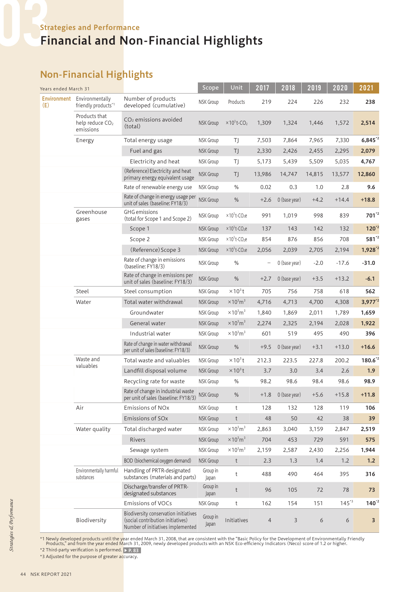# Non-Financial Highlights

| Years ended March 31      |                                                           |                                                                                                                 | Scope             | Unit                                         | 2017           | 2018          | 2019   | 2020      | 2021                    |
|---------------------------|-----------------------------------------------------------|-----------------------------------------------------------------------------------------------------------------|-------------------|----------------------------------------------|----------------|---------------|--------|-----------|-------------------------|
| <b>Environment</b><br>(E) | Environmentally<br>friendly products*1                    | Number of products<br>developed (cumulative)                                                                    | NSK Group         | Products                                     | 219            | 224           | 226    | 232       | 238                     |
|                           | Products that<br>help reduce CO <sub>2</sub><br>emissions | $CO2$ emissions avoided<br>(total)                                                                              | <b>NSK Group</b>  | $\times$ 10 <sup>3</sup> t-CO <sub>2</sub>   | 1,309          | 1,324         | 1,446  | 1,572     | 2,514                   |
|                           | Energy                                                    | Total energy usage                                                                                              | NSK Group         | ΤJ                                           | 7,503          | 7,864         | 7,965  | 7,330     | $6,845^{2}$             |
|                           |                                                           | Fuel and gas                                                                                                    | <b>NSK Group</b>  | TJ                                           | 2,330          | 2,426         | 2,455  | 2,295     | 2,079                   |
|                           |                                                           | Electricity and heat                                                                                            | NSK Group         | ΤJ                                           | 5,173          | 5,439         | 5,509  | 5,035     | 4,767                   |
|                           |                                                           | (Reference) Electricity and heat<br>primary energy equivalent usage                                             | <b>NSK Group</b>  | TJ                                           | 13,986         | 14,747        | 14,815 | 13,577    | 12,860                  |
|                           |                                                           | Rate of renewable energy use                                                                                    | NSK Group         | %                                            | 0.02           | 0.3           | 1.0    | 2.8       | 9.6                     |
|                           |                                                           | Rate of change in energy usage per<br>unit of sales (baseline: FY18/3)                                          | NSK Group         | $\%$                                         | $+2.6$         | 0 (base year) | $+4.2$ | $+14.4$   | $+18.8$                 |
|                           | Greenhouse<br>gases                                       | <b>GHG</b> emissions<br>(total for Scope 1 and Scope 2)                                                         | NSK Group         | $\times$ 10 <sup>3</sup> t-CO <sub>2</sub> e | 991            | 1,019         | 998    | 839       | 701 <sup>*2</sup>       |
|                           |                                                           | Scope 1                                                                                                         | <b>NSK Group</b>  | $\times$ 10 <sup>3</sup> t-CO <sub>2</sub> e | 137            | 143           | 142    | 132       | $120^{2}$               |
|                           |                                                           | Scope 2                                                                                                         | <b>NSK Group</b>  | $\times$ 10 <sup>3</sup> t-CO <sub>2</sub> e | 854            | 876           | 856    | 708       | 581 <sup>*2</sup>       |
|                           |                                                           | (Reference) Scope 3                                                                                             | <b>NSK Group</b>  | $\times$ 10 <sup>3</sup> t-CO <sub>2</sub> e | 2,056          | 2,039         | 2,705  | 2,194     | $1,928^{2}$             |
|                           |                                                           | Rate of change in emissions<br>(baseline: FY18/3)                                                               | NSK Group         | $\%$                                         | —              | 0 (base year) | $-2.0$ | $-17.6$   | $-31.0$                 |
|                           |                                                           | Rate of change in emissions per<br>unit of sales (baseline: FY18/3)                                             | <b>NSK Group</b>  | $\%$                                         | $+2.7$         | 0 (base year) | $+3.5$ | $+13.2$   | $-6.1$                  |
|                           | Steel                                                     | Steel consumption                                                                                               | NSK Group         | $\times$ 10 <sup>3</sup> t                   | 705            | 756           | 758    | 618       | 562                     |
|                           | Water                                                     | Total water withdrawal                                                                                          | <b>NSK Group</b>  | $\times$ 10 <sup>3</sup> m <sup>3</sup>      | 4,716          | 4,713         | 4,700  | 4,308     | $3,977^{2}$             |
|                           |                                                           | Groundwater                                                                                                     | <b>NSK Group</b>  | $\times$ 10 <sup>3</sup> m <sup>3</sup>      | 1,840          | 1,869         | 2,011  | 1,789     | 1,659                   |
|                           |                                                           | General water                                                                                                   | <b>NSK Group</b>  | $\times$ 10 <sup>3</sup> $m3$                | 2,274          | 2,325         | 2,194  | 2,028     | 1,922                   |
|                           |                                                           | Industrial water                                                                                                | NSK Group         | $\times$ 10 <sup>3</sup> m <sup>3</sup>      | 601            | 519           | 495    | 490       | 396                     |
|                           |                                                           | Rate of change in water withdrawal<br>per unit of sales (baseline: FY18/3)                                      | <b>NSK Group</b>  | $\%$                                         | $+9.5$         | 0 (base year) | $+3.1$ | $+13.0$   | $+16.6$                 |
|                           | Waste and<br>valuables                                    | Total waste and valuables                                                                                       | NSK Group         | $\times$ 10 <sup>3</sup> t                   | 212.3          | 223.5         | 227.8  | 200.2     | 180.6 <sup>*2</sup>     |
|                           |                                                           | Landfill disposal volume                                                                                        | <b>NSK Group</b>  | $\times$ 10 <sup>3</sup> t                   | 3.7            | 3.0           | 3.4    | 2.6       | 1.9                     |
|                           |                                                           | Recycling rate for waste                                                                                        | NSK Group         | %                                            | 98.2           | 98.6          | 98.4   | 98.6      | 98.9                    |
|                           |                                                           | Rate of change in industrial waste<br>per unit of sales (baseline: FY18/3)                                      | NSK Group         | $\%$                                         | $+1.8$         | 0 (base year) | $+5.6$ | $+15.8$   | $+11.8$                 |
|                           | Air                                                       | <b>Emissions of NOx</b>                                                                                         | NSK Group         | t                                            | 128            | 132           | 128    | 119       | 106                     |
|                           |                                                           | Emissions of SOx                                                                                                | NSK Group         | $\mathsf t$                                  | 48             | 50            | 42     | 38        | 39                      |
|                           | Water quality                                             | Total discharged water                                                                                          | NSK Group         | $\times$ 10 <sup>3</sup> m <sup>3</sup>      | 2,863          | 3,040         | 3,159  | 2,847     | 2,519                   |
|                           |                                                           | Rivers                                                                                                          | <b>NSK Group</b>  | $\times$ 10 <sup>3</sup> m <sup>3</sup>      | 704            | 453           | 729    | 591       | 575                     |
|                           |                                                           | Sewage system                                                                                                   | NSK Group         | $\times$ 10 <sup>3</sup> m <sup>3</sup>      | 2,159          | 2,587         | 2,430  | 2,256     | 1,944                   |
|                           |                                                           | BOD (biochemical oxygen demand)                                                                                 | NSK Group         | t                                            | 2.3            | 1.3           | 1.4    | 1.2       | $1.2$                   |
|                           | Environmentally harmful<br>substances                     | Handling of PRTR-designated<br>substances (materials and parts)                                                 | Group in<br>Japan | $\mathsf t$                                  | 488            | 490           | 464    | 395       | 316                     |
|                           |                                                           | Discharge/transfer of PRTR-<br>designated substances                                                            | Group in<br>Japan | $\mathsf{t}$                                 | 96             | 105           | 72     | 78        | 73                      |
|                           |                                                           | <b>Emissions of VOCs</b>                                                                                        | NSK Group         | t                                            | 162            | 154           | 151    | $145^{3}$ | $140^{2}$               |
|                           | Biodiversity                                              | Biodiversity conservation initiatives<br>(social contribution initiatives)<br>Number of initiatives implemented | Group in<br>Japan | Initiatives                                  | $\overline{4}$ | 3             | 6      | 6         | $\overline{\mathbf{3}}$ |

\*1 Newly developed products until the year ended March 31, 2008, that are consistent with the "Basic Policy for the Development of Environmentally Friendly<br>Products," and from the year ended March 31, 2009, newly developed

\*2 Third-party verification is performed. ▶ P. 83

\*3 Adjusted for the purpose of greater accuracy.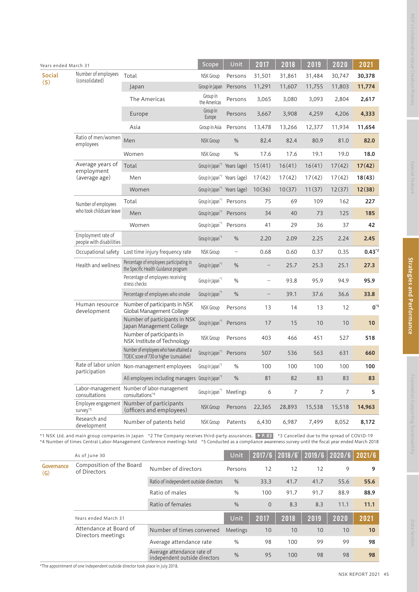|                      | Years ended March 31                           |                                                                                      |                                          | Unit                     | 2017              | 2018   | 2019   | 2020   | 2021       |
|----------------------|------------------------------------------------|--------------------------------------------------------------------------------------|------------------------------------------|--------------------------|-------------------|--------|--------|--------|------------|
| <b>Social</b><br>(S) | Number of employees<br>(consolidated)          | Total                                                                                | <b>NSK Group</b>                         | Persons                  | 31,501            | 31,861 | 31,484 | 30,747 | 30,378     |
|                      |                                                | Japan                                                                                | Group in Japan                           | Persons                  | 11,291            | 11,607 | 11,755 | 11,803 | 11,774     |
|                      |                                                | The Americas                                                                         | Group in<br>the Americas                 | Persons                  | 3,065             | 3,080  | 3,093  | 2,804  | 2,617      |
|                      |                                                | Europe                                                                               | Group in<br>Europe                       | Persons                  | 3,667             | 3,908  | 4,259  | 4,206  | 4,333      |
|                      |                                                | Asia                                                                                 | Group in Asia                            | Persons                  | 13,478            | 13,266 | 12,377 | 11,934 | 11,654     |
|                      | Ratio of men/women<br>employees                | Men                                                                                  | NSK Group                                | $\%$                     | 82.4              | 82.4   | 80.9   | 81.0   | 82.0       |
|                      |                                                | Women                                                                                | NSK Group                                | $\%$                     | 17.6              | 17.6   | 19.1   | 19.0   | 18.0       |
|                      | Average years of<br>employment                 | Total                                                                                | Group in Japan <sup>*1</sup> Years (age) |                          | 15(41)            | 16(41) | 16(41) | 17(42) | 17(42)     |
|                      | (average age)                                  | Men                                                                                  | Group in Japan <sup>*1</sup> Years (age) |                          | 17(42)            | 17(42) | 17(42) | 17(42) | 18(43)     |
|                      |                                                | Women                                                                                | Group in Japan <sup>*1</sup> Years (age) |                          | 10(36)            | 10(37) | 11(37) | 12(37) | 12(38)     |
|                      | Number of employees                            | Total                                                                                | Group in Japan <sup>*1</sup> Persons     |                          | 75                | 69     | 109    | 162    | 227        |
|                      | who took childcare leave                       | Men                                                                                  | Group in Japan <sup>*1</sup> Persons     |                          | 34                | 40     | 73     | 125    | 185        |
|                      |                                                | Women                                                                                | Group in Japan <sup>*1</sup> Persons     |                          | 41                | 29     | 36     | 37     | 42         |
|                      | Employment rate of<br>people with disabilities |                                                                                      | Group in Japan <sup>*1</sup>             | $\%$                     | 2.20              | 2.09   | 2.25   | 2.24   | 2.45       |
|                      | Occupational safety                            | Lost time injury frequency rate                                                      | <b>NSK Group</b>                         | $\overline{\phantom{0}}$ | 0.68              | 0.60   | 0.37   | 0.35   | $0.43^{2}$ |
|                      | Health and wellness                            | Percentage of employees participating in<br>the Specific Health Guidance program     | Group in Japan <sup>*1</sup>             | %                        | $\qquad \qquad -$ | 25.7   | 25.3   | 25.1   | 27.3       |
|                      |                                                | Percentage of employees receiving<br>stress checks                                   | Group in Japan <sup>*1</sup>             | $\%$                     | -                 | 93.8   | 95.9   | 94.9   | 95.9       |
|                      |                                                | Percentage of employees who smoke                                                    | Group in Japan <sup>*1</sup>             | $\%$                     | $\qquad \qquad -$ | 39.1   | 37.6   | 36.6   | 33.8       |
|                      | Human resource<br>development                  | Number of participants in NSK<br>Global Management College                           | NSK Group                                | Persons                  | 13                | 14     | 13     | 12     | $0^{\ast}$ |
|                      |                                                | Number of participants in NSK<br>Japan Management College                            | Group in Japan <sup>*1</sup>             | Persons                  | 17                | 15     | 10     | 10     | 10         |
|                      |                                                | Number of participants in<br>NSK Institute of Technology                             | <b>NSK Group</b>                         | Persons                  | 403               | 466    | 451    | 527    | 518        |
|                      |                                                | Number of employees who have attained a<br>TOEIC score of 730 or higher (cumulative) | Group in Japan <sup>*1</sup>             | Persons                  | 507               | 536    | 563    | 631    | 660        |
|                      | Rate of labor union<br>participation           | Non-management employees                                                             | Group in Japan*1                         | $\%$                     | 100               | 100    | 100    | 100    | 100        |
|                      |                                                | All employees including managers Group in Japan*1                                    |                                          | $\%$                     | 81                | 82     | 83     | 83     | 83         |
|                      | consultations                                  | Labor-management Number of labor-management<br>consultations*4                       | Group in Japan <sup>*1</sup>             | Meetings                 | 6                 | 7      | 7      | 7      | 5          |
|                      | survey <sup>*5</sup>                           | Employee engagement Number of participants<br>(officers and employees)               | NSK Group                                | Persons                  | 22,365            | 28,893 | 15,538 | 15,518 | 14,963     |
|                      | Research and<br>development                    | Number of patents held                                                               | <b>NSK Group</b>                         | Patents                  | 6,430             | 6,987  | 7,499  | 8,052  | 8,172      |

\*1 NSK Ltd. and main group companies in Japan \*2 The Company receives third-party assurances. ▶ P. 83 \*3 Cancelled due to the spread of COVID-19 \*4 Number of times Central Labor-Management Conference meetings held \*5 Conducted as a compliance awareness survey until the fiscal year ended March 2018

As of June 30 **As of June 30** Unit 2017/6 2018/6<sup>\*</sup> 2019/6 2020/6 2021/6

Composition of the Board<br>
of Directors Mumber of directors Persons 12 12 12 9 9

Years ended March 31 Unit 2017 2018 2019 2020 2021

Ratio of independent outside directors  $\frac{96}{2}$  33.3 41.7 41.7 55.6 55.6 Ratio of males % 100 91.7 91.7 88.9 88.9 Ratio of females 6 8 8.3 8.3 11.1 11.1

Number of times convened Meetings 10 10 10 10 10 Average attendance rate  $\frac{1}{2}$  % 98 100 99 99 98 Average attendance rate of independent outside directors % 95 100 98 98 <sup>98</sup>

NSK's Collaborative Value Creation Process

\*The appointment of one independent outside director took place in July 2018.

Attendance at Board of Directors meetings

Composition of the Board

**Governance** (G)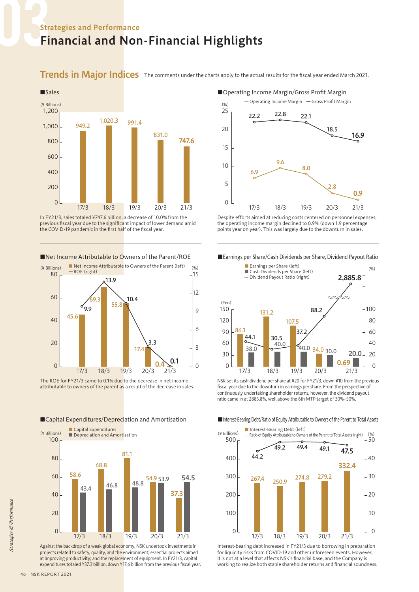### Strategies and Performance Financial and Non-Financial Highlights

Trends in Major Indices The comments under the charts apply to the actual results for the fiscal year ended March 2021.



In FY21/3, sales totaled ¥747.6 billion, a decrease of 10.0% from the previous fiscal year due to the significant impact of lower demand amid the COVID-19 pandemic in the first half of the fiscal year.

#### ■Net Income Attributable to Owners of the Parent/ROE



The ROE for FY21/3 came to 0.1% due to the decrease in net income attributable to owners of the parent as a result of the decrease in sales.

#### ■Capital Expenditures/Depreciation and Amortisation



Against the backdrop of a weak global economy, NSK undertook investments in projects related to safety, quality, and the environment; essential projects aimed at improving productivity; and the replacement of equipment. In FY21/3, capital expenditures totaled ¥37.3 billion, down ¥17.6 billion from the previous fiscal year.

#### ■Operating Income Margin/Gross Profit Margin



Despite efforts aimed at reducing costs centered on personnel expenses, the operating income margin declined to 0.9% (down 1.9 percentage points year on year). This was largely due to the downturn in sales.





NSK set its cash dividend per share at ¥20 for FY21/3, down ¥10 from the previous fiscal year due to the downturn in earnings per share. From the perspective of continuously undertaking shareholder returns, however, the dividend payout ratio came in at 2885.8%, well above the 6th MTP target of 30%–50%.

■Interest-Bearing Debt/Ratio of Equity Attributable to Owners of the Parent to Total Assets



Interest-bearing debt increased in FY21/3 due to borrowing in preparation for liquidity risks from COVID-19 and other unforeseen events. However, it is not at a level that affects NSK's financial base, and the Company is working to realize both stable shareholder returns and financial soundness.